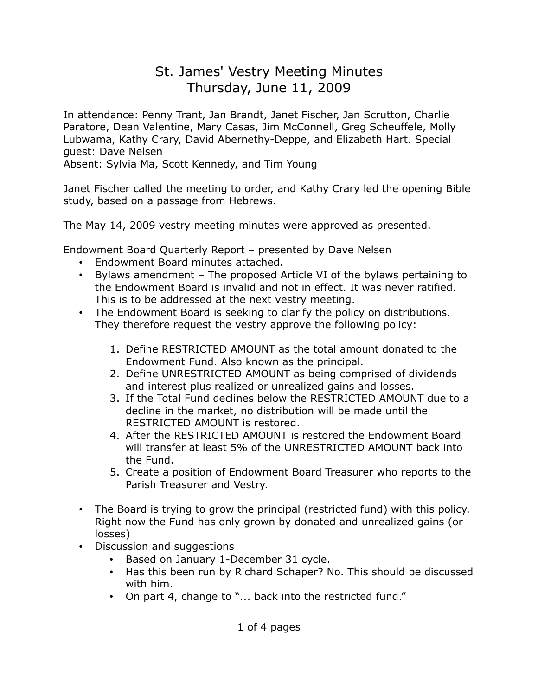# St. James' Vestry Meeting Minutes Thursday, June 11, 2009

In attendance: Penny Trant, Jan Brandt, Janet Fischer, Jan Scrutton, Charlie Paratore, Dean Valentine, Mary Casas, Jim McConnell, Greg Scheuffele, Molly Lubwama, Kathy Crary, David Abernethy-Deppe, and Elizabeth Hart. Special guest: Dave Nelsen

Absent: Sylvia Ma, Scott Kennedy, and Tim Young

Janet Fischer called the meeting to order, and Kathy Crary led the opening Bible study, based on a passage from Hebrews.

The May 14, 2009 vestry meeting minutes were approved as presented.

Endowment Board Quarterly Report – presented by Dave Nelsen

- Endowment Board minutes attached.
- Bylaws amendment The proposed Article VI of the bylaws pertaining to the Endowment Board is invalid and not in effect. It was never ratified. This is to be addressed at the next vestry meeting.
- The Endowment Board is seeking to clarify the policy on distributions. They therefore request the vestry approve the following policy:
	- 1. Define RESTRICTED AMOUNT as the total amount donated to the Endowment Fund. Also known as the principal.
	- 2. Define UNRESTRICTED AMOUNT as being comprised of dividends and interest plus realized or unrealized gains and losses.
	- 3. If the Total Fund declines below the RESTRICTED AMOUNT due to a decline in the market, no distribution will be made until the RESTRICTED AMOUNT is restored.
	- 4. After the RESTRICTED AMOUNT is restored the Endowment Board will transfer at least 5% of the UNRESTRICTED AMOUNT back into the Fund.
	- 5. Create a position of Endowment Board Treasurer who reports to the Parish Treasurer and Vestry.
- The Board is trying to grow the principal (restricted fund) with this policy. Right now the Fund has only grown by donated and unrealized gains (or losses)
- Discussion and suggestions
	- Based on January 1-December 31 cycle.
	- Has this been run by Richard Schaper? No. This should be discussed with him.
	- On part 4, change to "... back into the restricted fund."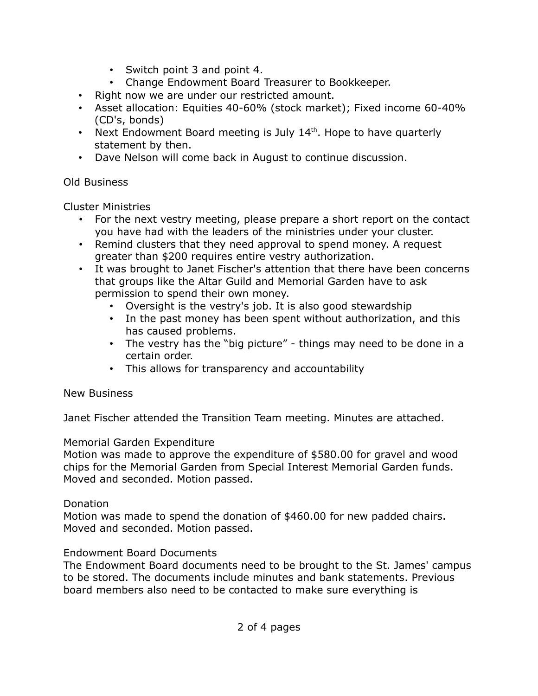- Switch point 3 and point 4.
- Change Endowment Board Treasurer to Bookkeeper.
- Right now we are under our restricted amount.
- Asset allocation: Equities 40-60% (stock market); Fixed income 60-40% (CD's, bonds)
- Next Endowment Board meeting is July  $14<sup>th</sup>$ . Hope to have quarterly statement by then.
- Dave Nelson will come back in August to continue discussion.

#### Old Business

Cluster Ministries

- For the next vestry meeting, please prepare a short report on the contact you have had with the leaders of the ministries under your cluster.
- Remind clusters that they need approval to spend money. A request greater than \$200 requires entire vestry authorization.
- It was brought to Janet Fischer's attention that there have been concerns that groups like the Altar Guild and Memorial Garden have to ask permission to spend their own money.
	- Oversight is the vestry's job. It is also good stewardship
	- In the past money has been spent without authorization, and this has caused problems.
	- The vestry has the "big picture" things may need to be done in a certain order.
	- This allows for transparency and accountability

## New Business

Janet Fischer attended the Transition Team meeting. Minutes are attached.

## Memorial Garden Expenditure

Motion was made to approve the expenditure of \$580.00 for gravel and wood chips for the Memorial Garden from Special Interest Memorial Garden funds. Moved and seconded. Motion passed.

#### Donation

Motion was made to spend the donation of \$460.00 for new padded chairs. Moved and seconded. Motion passed.

## Endowment Board Documents

The Endowment Board documents need to be brought to the St. James' campus to be stored. The documents include minutes and bank statements. Previous board members also need to be contacted to make sure everything is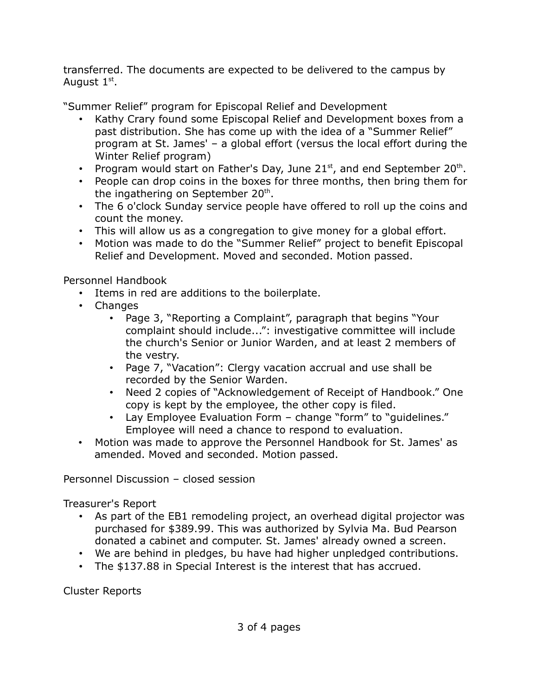transferred. The documents are expected to be delivered to the campus by August  $1^{\text{st}}$ .

"Summer Relief" program for Episcopal Relief and Development

- Kathy Crary found some Episcopal Relief and Development boxes from a past distribution. She has come up with the idea of a "Summer Relief" program at St. James' – a global effort (versus the local effort during the Winter Relief program)
- Program would start on Father's Day, June 21 $st$ , and end September 20 $th$ .
- People can drop coins in the boxes for three months, then bring them for the ingathering on September 20<sup>th</sup>.
- The 6 o'clock Sunday service people have offered to roll up the coins and count the money.
- This will allow us as a congregation to give money for a global effort.
- Motion was made to do the "Summer Relief" project to benefit Episcopal Relief and Development. Moved and seconded. Motion passed.

Personnel Handbook

- Items in red are additions to the boilerplate.
- Changes
	- Page 3, "Reporting a Complaint", paragraph that begins "Your complaint should include...": investigative committee will include the church's Senior or Junior Warden, and at least 2 members of the vestry.
	- Page 7, "Vacation": Clergy vacation accrual and use shall be recorded by the Senior Warden.
	- Need 2 copies of "Acknowledgement of Receipt of Handbook." One copy is kept by the employee, the other copy is filed.
	- Lay Employee Evaluation Form change "form" to "guidelines." Employee will need a chance to respond to evaluation.
- Motion was made to approve the Personnel Handbook for St. James' as amended. Moved and seconded. Motion passed.

Personnel Discussion – closed session

Treasurer's Report

- As part of the EB1 remodeling project, an overhead digital projector was purchased for \$389.99. This was authorized by Sylvia Ma. Bud Pearson donated a cabinet and computer. St. James' already owned a screen.
- We are behind in pledges, bu have had higher unpledged contributions.
- The \$137.88 in Special Interest is the interest that has accrued.

Cluster Reports